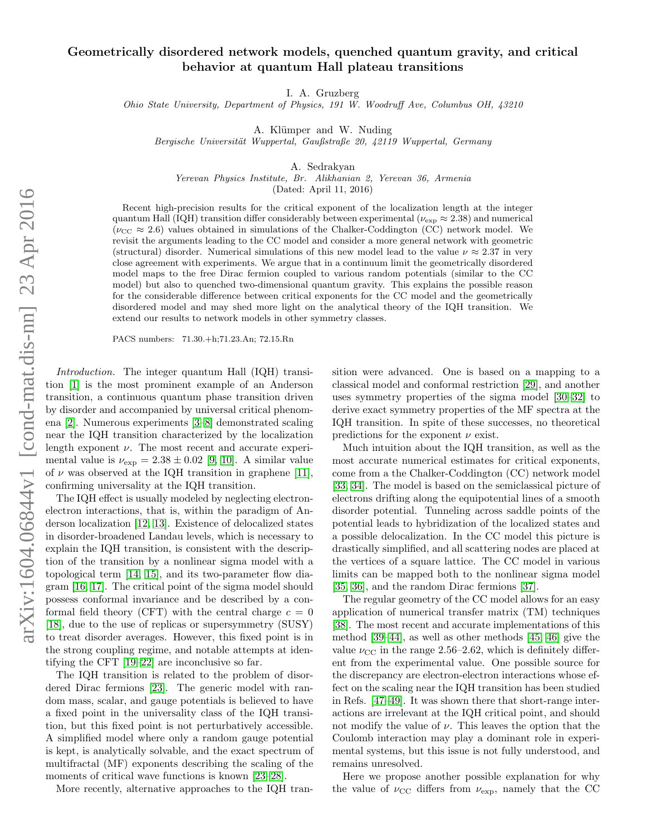# Geometrically disordered network models, quenched quantum gravity, and critical behavior at quantum Hall plateau transitions

I. A. Gruzberg

Ohio State University, Department of Physics, 191 W. Woodruff Ave, Columbus OH, 43210

A. Klümper and W. Nuding

Bergische Universität Wuppertal, Gaußstraße 20, 42119 Wuppertal, Germany

A. Sedrakyan

Yerevan Physics Institute, Br. Alikhanian 2, Yerevan 36, Armenia

(Dated: April 11, 2016)

Recent high-precision results for the critical exponent of the localization length at the integer quantum Hall (IQH) transition differ considerably between experimental ( $\nu_{\rm exp} \approx 2.38$ ) and numerical ( $\nu_{\rm CC} \approx 2.6$ ) values obtained in simulations of the Chalker-Coddington (CC) network model. We revisit the arguments leading to the CC model and consider a more general network with geometric (structural) disorder. Numerical simulations of this new model lead to the value  $\nu \approx 2.37$  in very close agreement with experiments. We argue that in a continuum limit the geometrically disordered model maps to the free Dirac fermion coupled to various random potentials (similar to the CC model) but also to quenched two-dimensional quantum gravity. This explains the possible reason for the considerable difference between critical exponents for the CC model and the geometrically disordered model and may shed more light on the analytical theory of the IQH transition. We extend our results to network models in other symmetry classes.

PACS numbers: 71.30.+h;71.23.An; 72.15.Rn

Introduction. The integer quantum Hall (IQH) transition [\[1\]](#page-4-0) is the most prominent example of an Anderson transition, a continuous quantum phase transition driven by disorder and accompanied by universal critical phenomena [\[2\]](#page-4-1). Numerous experiments [\[3](#page-4-2)[–8\]](#page-4-3) demonstrated scaling near the IQH transition characterized by the localization length exponent  $\nu$ . The most recent and accurate experimental value is  $\nu_{\rm exp} = 2.38 \pm 0.02$  [\[9,](#page-4-4) [10\]](#page-4-5). A similar value of  $\nu$  was observed at the IQH transition in graphene [\[11\]](#page-4-6), confirming universality at the IQH transition.

The IQH effect is usually modeled by neglecting electronelectron interactions, that is, within the paradigm of Anderson localization [\[12,](#page-4-7) [13\]](#page-4-8). Existence of delocalized states in disorder-broadened Landau levels, which is necessary to explain the IQH transition, is consistent with the description of the transition by a nonlinear sigma model with a topological term [\[14,](#page-4-9) [15\]](#page-4-10), and its two-parameter flow diagram [\[16,](#page-4-11) [17\]](#page-4-12). The critical point of the sigma model should possess conformal invariance and be described by a conformal field theory (CFT) with the central charge  $c = 0$ [\[18\]](#page-4-13), due to the use of replicas or supersymmetry (SUSY) to treat disorder averages. However, this fixed point is in the strong coupling regime, and notable attempts at identifying the CFT [\[19–](#page-4-14)[22\]](#page-4-15) are inconclusive so far.

The IQH transition is related to the problem of disordered Dirac fermions [\[23\]](#page-4-16). The generic model with random mass, scalar, and gauge potentials is believed to have a fixed point in the universality class of the IQH transition, but this fixed point is not perturbatively accessible. A simplified model where only a random gauge potential is kept, is analytically solvable, and the exact spectrum of multifractal (MF) exponents describing the scaling of the moments of critical wave functions is known [\[23–](#page-4-16)[28\]](#page-4-17).

More recently, alternative approaches to the IQH tran-

sition were advanced. One is based on a mapping to a classical model and conformal restriction [\[29\]](#page-4-18), and another uses symmetry properties of the sigma model [\[30–](#page-4-19)[32\]](#page-4-20) to derive exact symmetry properties of the MF spectra at the IQH transition. In spite of these successes, no theoretical predictions for the exponent  $\nu$  exist.

Much intuition about the IQH transition, as well as the most accurate numerical estimates for critical exponents, come from a the Chalker-Coddington (CC) network model [\[33,](#page-4-21) [34\]](#page-4-22). The model is based on the semiclassical picture of electrons drifting along the equipotential lines of a smooth disorder potential. Tunneling across saddle points of the potential leads to hybridization of the localized states and a possible delocalization. In the CC model this picture is drastically simplified, and all scattering nodes are placed at the vertices of a square lattice. The CC model in various limits can be mapped both to the nonlinear sigma model [\[35,](#page-4-23) [36\]](#page-4-24), and the random Dirac fermions [\[37\]](#page-4-25).

The regular geometry of the CC model allows for an easy application of numerical transfer matrix (TM) techniques [\[38\]](#page-4-26). The most recent and accurate implementations of this method [\[39](#page-4-27)[–44\]](#page-4-28), as well as other methods [\[45,](#page-4-29) [46\]](#page-4-30) give the value  $\nu_{\rm CC}$  in the range 2.56–2.62, which is definitely different from the experimental value. One possible source for the discrepancy are electron-electron interactions whose effect on the scaling near the IQH transition has been studied in Refs. [\[47](#page-4-31)[–49\]](#page-4-32). It was shown there that short-range interactions are irrelevant at the IQH critical point, and should not modify the value of  $\nu$ . This leaves the option that the Coulomb interaction may play a dominant role in experimental systems, but this issue is not fully understood, and remains unresolved.

Here we propose another possible explanation for why the value of  $\nu_{\rm CC}$  differs from  $\nu_{\rm exp}$ , namely that the CC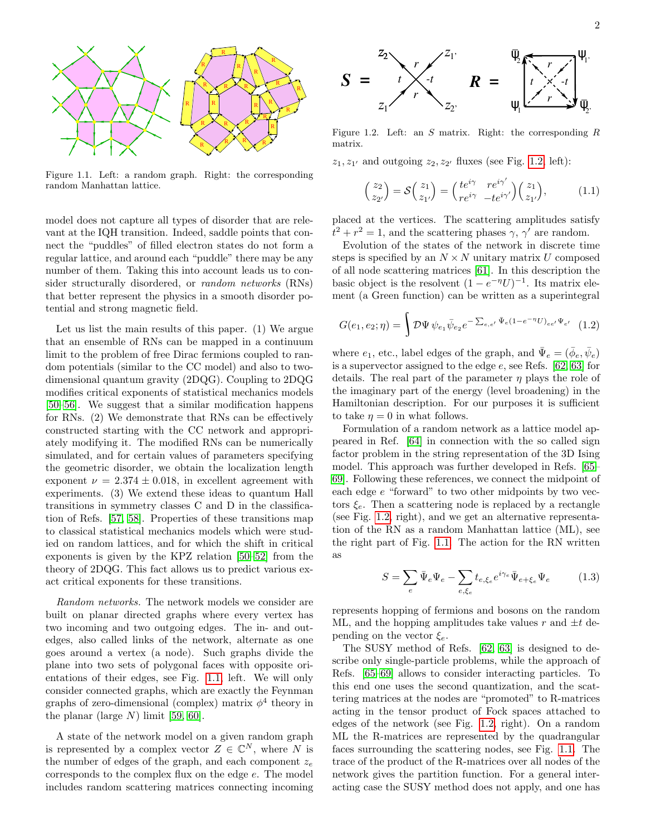<span id="page-1-0"></span>

Figure 1.1. Left: a random graph. Right: the corresponding random Manhattan lattice.

model does not capture all types of disorder that are relevant at the IQH transition. Indeed, saddle points that connect the "puddles" of filled electron states do not form a regular lattice, and around each "puddle" there may be any number of them. Taking this into account leads us to consider structurally disordered, or random networks (RNs) that better represent the physics in a smooth disorder potential and strong magnetic field.

Let us list the main results of this paper. (1) We argue that an ensemble of RNs can be mapped in a continuum limit to the problem of free Dirac fermions coupled to random potentials (similar to the CC model) and also to twodimensional quantum gravity (2DQG). Coupling to 2DQG modifies critical exponents of statistical mechanics models [\[50–](#page-4-33)[56\]](#page-4-34). We suggest that a similar modification happens for RNs. (2) We demonstrate that RNs can be effectively constructed starting with the CC network and appropriately modifying it. The modified RNs can be numerically simulated, and for certain values of parameters specifying the geometric disorder, we obtain the localization length exponent  $\nu = 2.374 \pm 0.018$ , in excellent agreement with experiments. (3) We extend these ideas to quantum Hall transitions in symmetry classes C and D in the classification of Refs. [\[57,](#page-4-35) [58\]](#page-4-36). Properties of these transitions map to classical statistical mechanics models which were studied on random lattices, and for which the shift in critical exponents is given by the KPZ relation [\[50–](#page-4-33)[52\]](#page-4-37) from the theory of 2DQG. This fact allows us to predict various exact critical exponents for these transitions.

Random networks. The network models we consider are built on planar directed graphs where every vertex has two incoming and two outgoing edges. The in- and outedges, also called links of the network, alternate as one goes around a vertex (a node). Such graphs divide the plane into two sets of polygonal faces with opposite orientations of their edges, see Fig. [1.1,](#page-1-0) left. We will only consider connected graphs, which are exactly the Feynman graphs of zero-dimensional (complex) matrix  $\phi^4$  theory in the planar (large  $N$ ) limit [\[59,](#page-4-38) [60\]](#page-4-39).

A state of the network model on a given random graph is represented by a complex vector  $Z \in \mathbb{C}^N$ , where N is the number of edges of the graph, and each component  $z_e$ corresponds to the complex flux on the edge e. The model includes random scattering matrices connecting incoming

<span id="page-1-1"></span>

Figure 1.2. Left: an  $S$  matrix. Right: the corresponding  $R$ matrix.

 $z_1, z_{1'}$  and outgoing  $z_2, z_{2'}$  fluxes (see Fig. [1.2,](#page-1-1) left):

$$
\begin{pmatrix} z_2 \ z_{2'} \end{pmatrix} = \mathcal{S} \begin{pmatrix} z_1 \ z_{1'} \end{pmatrix} = \begin{pmatrix} te^{i\gamma} & re^{i\gamma'} \ re^{i\gamma} & -te^{i\gamma'} \end{pmatrix} \begin{pmatrix} z_1 \ z_{1'} \end{pmatrix}, \tag{1.1}
$$

placed at the vertices. The scattering amplitudes satisfy  $t^2 + r^2 = 1$ , and the scattering phases  $\gamma$ ,  $\gamma'$  are random.

Evolution of the states of the network in discrete time steps is specified by an  $N \times N$  unitary matrix U composed of all node scattering matrices [\[61\]](#page-4-40). In this description the basic object is the resolvent  $(1 - e^{-\eta}U)^{-1}$ . Its matrix element (a Green function) can be written as a superintegral

$$
G(e_1, e_2; \eta) = \int \mathcal{D}\Psi \, \psi_{e_1} \bar{\psi}_{e_2} e^{-\sum_{e,e'} \bar{\Psi}_e (1 - e^{-\eta} U)_{ee'} \Psi_{e'}} \tag{1.2}
$$

where  $e_1$ , etc., label edges of the graph, and  $\bar{\Psi}_e = (\bar{\phi}_e, \bar{\psi}_e)$ is a supervector assigned to the edge  $e$ , see Refs. [\[62,](#page-4-41) [63\]](#page-5-0) for details. The real part of the parameter  $\eta$  plays the role of the imaginary part of the energy (level broadening) in the Hamiltonian description. For our purposes it is sufficient to take  $\eta = 0$  in what follows.

Formulation of a random network as a lattice model appeared in Ref. [\[64\]](#page-5-1) in connection with the so called sign factor problem in the string representation of the 3D Ising model. This approach was further developed in Refs. [\[65–](#page-5-2) [69\]](#page-5-3). Following these references, we connect the midpoint of each edge e "forward" to two other midpoints by two vectors  $\xi_e$ . Then a scattering node is replaced by a rectangle (see Fig. [1.2,](#page-1-1) right), and we get an alternative representation of the RN as a random Manhattan lattice (ML), see the right part of Fig. [1.1.](#page-1-0) The action for the RN written as

<span id="page-1-2"></span>
$$
S = \sum_{e} \bar{\Psi}_e \Psi_e - \sum_{e, \xi_e} t_{e, \xi_e} e^{i\gamma_e} \bar{\Psi}_{e + \xi_e} \Psi_e \tag{1.3}
$$

represents hopping of fermions and bosons on the random ML, and the hopping amplitudes take values r and  $\pm t$  depending on the vector  $\xi_e$ .

The SUSY method of Refs. [\[62,](#page-4-41) [63\]](#page-5-0) is designed to describe only single-particle problems, while the approach of Refs. [\[65–](#page-5-2)[69\]](#page-5-3) allows to consider interacting particles. To this end one uses the second quantization, and the scattering matrices at the nodes are "promoted" to R-matrices acting in the tensor product of Fock spaces attached to edges of the network (see Fig. [1.2,](#page-1-1) right). On a random ML the R-matrices are represented by the quadrangular faces surrounding the scattering nodes, see Fig. [1.1.](#page-1-0) The trace of the product of the R-matrices over all nodes of the network gives the partition function. For a general interacting case the SUSY method does not apply, and one has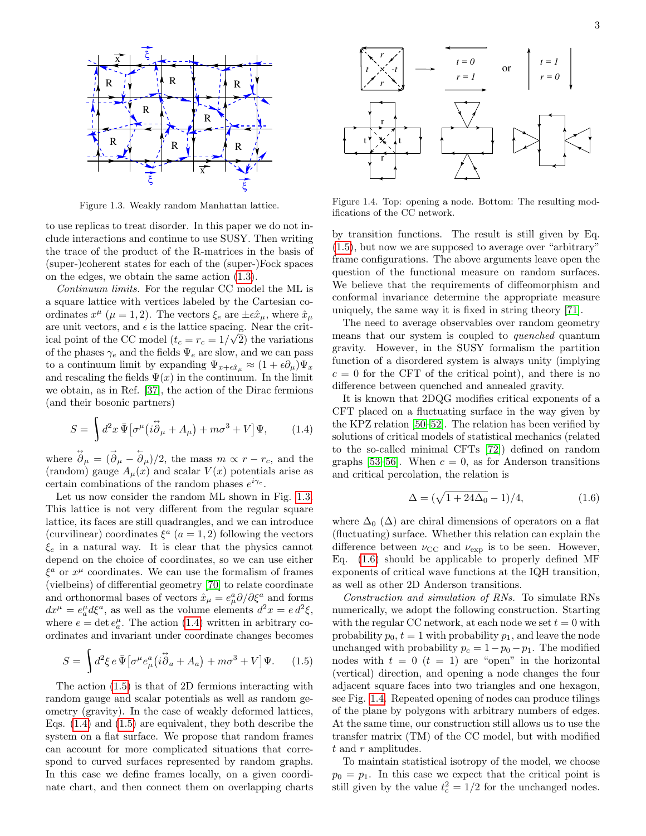<span id="page-2-0"></span>

Figure 1.3. Weakly random Manhattan lattice.

to use replicas to treat disorder. In this paper we do not include interactions and continue to use SUSY. Then writing the trace of the product of the R-matrices in the basis of (super-)coherent states for each of the (super-)Fock spaces on the edges, we obtain the same action [\(1.3\)](#page-1-2).

Continuum limits. For the regular CC model the ML is a square lattice with vertices labeled by the Cartesian coordinates  $x^{\mu}$  ( $\mu = 1, 2$ ). The vectors  $\xi_e$  are  $\pm \epsilon \hat{x}_{\mu}$ , where  $\hat{x}_{\mu}$ are unit vectors, and  $\epsilon$  is the lattice spacing. Near the critical point of the CC model  $(t_c = r_c = 1/\sqrt{2})$  the variations of the phases  $\gamma_e$  and the fields  $\Psi_e$  are slow, and we can pass to a continuum limit by expanding  $\Psi_{x+\epsilon\hat{x}_\mu} \approx (1+\epsilon\partial_\mu)\Psi_x$ and rescaling the fields  $\Psi(x)$  in the continuum. In the limit we obtain, as in Ref. [\[37\]](#page-4-25), the action of the Dirac fermions (and their bosonic partners)

$$
S = \int d^2x \,\overline{\Psi} \big[ \sigma^\mu \big( i \overset{\leftrightarrow}{\partial}_\mu + A_\mu \big) + m\sigma^3 + V \big] \Psi, \tag{1.4}
$$

where  $\ddot{\partial}_{\mu} = (\dot{\partial}_{\mu} - \dot{\partial}_{\mu})/2$ , the mass  $m \propto r - r_c$ , and the (random) gauge  $A_\mu(x)$  and scalar  $V(x)$  potentials arise as certain combinations of the random phases  $e^{i\gamma_e}$ .

Let us now consider the random ML shown in Fig. [1.3.](#page-2-0) This lattice is not very different from the regular square lattice, its faces are still quadrangles, and we can introduce (curvilinear) coordinates  $\xi^a$   $(a = 1, 2)$  following the vectors  $\xi_e$  in a natural way. It is clear that the physics cannot depend on the choice of coordinates, so we can use either  $\xi^a$  or  $x^\mu$  coordinates. We can use the formalism of frames (vielbeins) of differential geometry [\[70\]](#page-5-4) to relate coordinate and orthonormal bases of vectors  $\hat{x}_{\mu} = e_{\mu}^{a} \partial/\partial \xi^{a}$  and forms  $dx^{\mu} = e^{\mu}_{a} d\xi^{a}$ , as well as the volume elements  $d^{2}x = e d^{2}\xi$ , where  $e = \det e_a^{\mu}$ . The action [\(1.4\)](#page-2-1) written in arbitrary coordinates and invariant under coordinate changes becomes

$$
S = \int d^2 \xi \, e \, \bar{\Psi} \big[ \sigma^\mu e^a_\mu \big( i \ddot{\partial}_a + A_a \big) + m \sigma^3 + V \big] \Psi. \tag{1.5}
$$

The action [\(1.5\)](#page-2-2) is that of 2D fermions interacting with random gauge and scalar potentials as well as random geometry (gravity). In the case of weakly deformed lattices, Eqs. [\(1.4\)](#page-2-1) and [\(1.5\)](#page-2-2) are equivalent, they both describe the system on a flat surface. We propose that random frames can account for more complicated situations that correspond to curved surfaces represented by random graphs. In this case we define frames locally, on a given coordinate chart, and then connect them on overlapping charts

<span id="page-2-4"></span>

Figure 1.4. Top: opening a node. Bottom: The resulting modifications of the CC network.

by transition functions. The result is still given by Eq. [\(1.5\)](#page-2-2), but now we are supposed to average over "arbitrary" frame configurations. The above arguments leave open the question of the functional measure on random surfaces. We believe that the requirements of diffeomorphism and conformal invariance determine the appropriate measure uniquely, the same way it is fixed in string theory [\[71\]](#page-5-5).

The need to average observables over random geometry means that our system is coupled to quenched quantum gravity. However, in the SUSY formalism the partition function of a disordered system is always unity (implying  $c = 0$  for the CFT of the critical point), and there is no difference between quenched and annealed gravity.

<span id="page-2-1"></span>It is known that 2DQG modifies critical exponents of a CFT placed on a fluctuating surface in the way given by the KPZ relation [\[50](#page-4-33)[–52\]](#page-4-37). The relation has been verified by solutions of critical models of statistical mechanics (related to the so-called minimal CFTs [\[72\]](#page-5-6)) defined on random graphs [\[53–](#page-4-42)[56\]](#page-4-34). When  $c = 0$ , as for Anderson transitions and critical percolation, the relation is

<span id="page-2-3"></span>
$$
\Delta = (\sqrt{1 + 24\Delta_0} - 1)/4, \tag{1.6}
$$

where  $\Delta_0$  ( $\Delta$ ) are chiral dimensions of operators on a flat (fluctuating) surface. Whether this relation can explain the difference between  $\nu_{\rm CC}$  and  $\nu_{\rm exp}$  is to be seen. However, Eq. [\(1.6\)](#page-2-3) should be applicable to properly defined MF exponents of critical wave functions at the IQH transition, as well as other 2D Anderson transitions.

<span id="page-2-2"></span>Construction and simulation of RNs. To simulate RNs numerically, we adopt the following construction. Starting with the regular CC network, at each node we set  $t = 0$  with probability  $p_0, t = 1$  with probability  $p_1$ , and leave the node unchanged with probability  $p_c = 1-p_0-p_1$ . The modified nodes with  $t = 0$   $(t = 1)$  are "open" in the horizontal (vertical) direction, and opening a node changes the four adjacent square faces into two triangles and one hexagon, see Fig. [1.4.](#page-2-4) Repeated opening of nodes can produce tilings of the plane by polygons with arbitrary numbers of edges. At the same time, our construction still allows us to use the transfer matrix (TM) of the CC model, but with modified  $t$  and  $r$  amplitudes.

To maintain statistical isotropy of the model, we choose  $p_0 = p_1$ . In this case we expect that the critical point is still given by the value  $t_c^2 = 1/2$  for the unchanged nodes.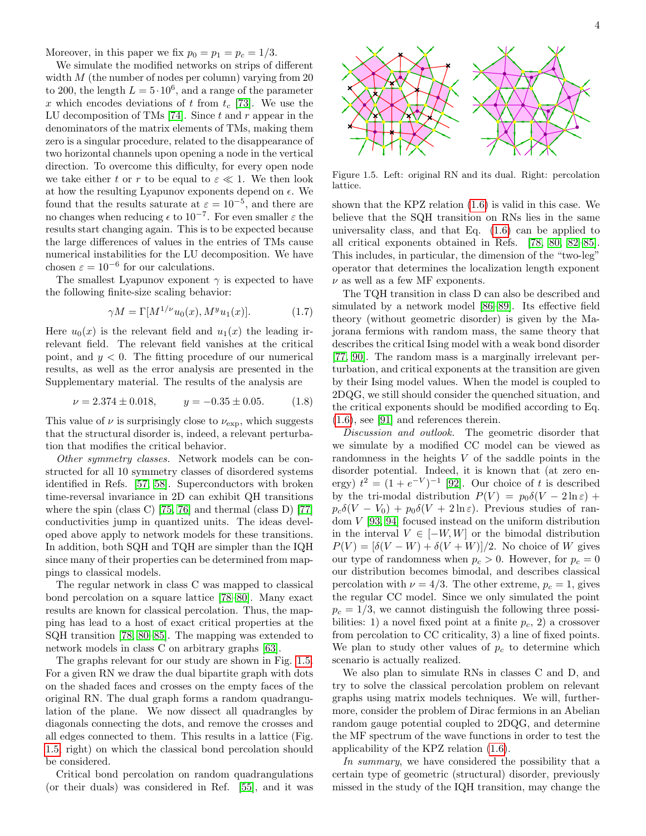Moreover, in this paper we fix  $p_0 = p_1 = p_c = 1/3$ .

We simulate the modified networks on strips of different width  $M$  (the number of nodes per column) varying from 20 to 200, the length  $L = 5 \cdot 10^6$ , and a range of the parameter x which encodes deviations of t from  $t_c$  [\[73\]](#page-5-7). We use the LU decomposition of TMs [\[74\]](#page-5-8). Since  $t$  and  $r$  appear in the denominators of the matrix elements of TMs, making them zero is a singular procedure, related to the disappearance of two horizontal channels upon opening a node in the vertical direction. To overcome this difficulty, for every open node we take either t or r to be equal to  $\varepsilon \ll 1$ . We then look at how the resulting Lyapunov exponents depend on  $\epsilon$ . We found that the results saturate at  $\varepsilon = 10^{-5}$ , and there are no changes when reducing  $\epsilon$  to  $10^{-7}$ . For even smaller  $\varepsilon$  the results start changing again. This is to be expected because the large differences of values in the entries of TMs cause numerical instabilities for the LU decomposition. We have chosen  $\varepsilon = 10^{-6}$  for our calculations.

The smallest Lyapunov exponent  $\gamma$  is expected to have the following finite-size scaling behavior:

$$
\gamma M = \Gamma[M^{1/\nu}u_0(x), M^y u_1(x)].\tag{1.7}
$$

Here  $u_0(x)$  is the relevant field and  $u_1(x)$  the leading irrelevant field. The relevant field vanishes at the critical point, and  $y < 0$ . The fitting procedure of our numerical results, as well as the error analysis are presented in the Supplementary material. The results of the analysis are

$$
\nu = 2.374 \pm 0.018, \qquad y = -0.35 \pm 0.05. \tag{1.8}
$$

This value of  $\nu$  is surprisingly close to  $\nu_{\exp}$ , which suggests that the structural disorder is, indeed, a relevant perturbation that modifies the critical behavior.

Other symmetry classes. Network models can be constructed for all 10 symmetry classes of disordered systems identified in Refs. [\[57,](#page-4-35) [58\]](#page-4-36). Superconductors with broken time-reversal invariance in 2D can exhibit QH transitions where the spin (class C) [\[75,](#page-5-9) [76\]](#page-5-10) and thermal (class D) [\[77\]](#page-5-11) conductivities jump in quantized units. The ideas developed above apply to network models for these transitions. In addition, both SQH and TQH are simpler than the IQH since many of their properties can be determined from mappings to classical models.

The regular network in class C was mapped to classical bond percolation on a square lattice [\[78](#page-5-12)[–80\]](#page-5-13). Many exact results are known for classical percolation. Thus, the mapping has lead to a host of exact critical properties at the SQH transition [\[78,](#page-5-12) [80–](#page-5-13)[85\]](#page-5-14). The mapping was extended to network models in class C on arbitrary graphs [\[63\]](#page-5-0).

The graphs relevant for our study are shown in Fig. [1.5.](#page-3-0) For a given RN we draw the dual bipartite graph with dots on the shaded faces and crosses on the empty faces of the original RN. The dual graph forms a random quadrangulation of the plane. We now dissect all quadrangles by diagonals connecting the dots, and remove the crosses and all edges connected to them. This results in a lattice (Fig. [1.5,](#page-3-0) right) on which the classical bond percolation should be considered.

Critical bond percolation on random quadrangulations (or their duals) was considered in Ref. [\[55\]](#page-4-43), and it was

<span id="page-3-0"></span>

Figure 1.5. Left: original RN and its dual. Right: percolation lattice.

shown that the KPZ relation [\(1.6\)](#page-2-3) is valid in this case. We believe that the SQH transition on RNs lies in the same universality class, and that Eq. [\(1.6\)](#page-2-3) can be applied to all critical exponents obtained in Refs. [\[78,](#page-5-12) [80,](#page-5-13) [82](#page-5-15)[–85\]](#page-5-14). This includes, in particular, the dimension of the "two-leg" operator that determines the localization length exponent  $\nu$  as well as a few MF exponents.

The TQH transition in class D can also be described and simulated by a network model [\[86](#page-5-16)[–89\]](#page-5-17). Its effective field theory (without geometric disorder) is given by the Majorana fermions with random mass, the same theory that describes the critical Ising model with a weak bond disorder [\[77,](#page-5-11) [90\]](#page-5-18). The random mass is a marginally irrelevant perturbation, and critical exponents at the transition are given by their Ising model values. When the model is coupled to 2DQG, we still should consider the quenched situation, and the critical exponents should be modified according to Eq. [\(1.6\)](#page-2-3), see [\[91\]](#page-5-19) and references therein.

Discussion and outlook. The geometric disorder that we simulate by a modified CC model can be viewed as randomness in the heights V of the saddle points in the disorder potential. Indeed, it is known that (at zero energy)  $t^2 = (1 + e^{-V})^{-1}$  [\[92\]](#page-5-20). Our choice of t is described by the tri-modal distribution  $P(V) = p_0 \delta(V - 2 \ln \varepsilon) +$  $p_c\delta(V - V_0) + p_0\delta(V + 2\ln \varepsilon)$ . Previous studies of random V [\[93,](#page-5-21) [94\]](#page-5-22) focused instead on the uniform distribution in the interval  $V \in [-W, W]$  or the bimodal distribution  $P(V) = \frac{\delta(V - W) + \delta(V + W)}{2}$ . No choice of W gives our type of randomness when  $p_c > 0$ . However, for  $p_c = 0$ our distribution becomes bimodal, and describes classical percolation with  $\nu = 4/3$ . The other extreme,  $p_c = 1$ , gives the regular CC model. Since we only simulated the point  $p_c = 1/3$ , we cannot distinguish the following three possibilities: 1) a novel fixed point at a finite  $p_c$ , 2) a crossover from percolation to CC criticality, 3) a line of fixed points. We plan to study other values of  $p_c$  to determine which scenario is actually realized.

We also plan to simulate RNs in classes C and D, and try to solve the classical percolation problem on relevant graphs using matrix models techniques. We will, furthermore, consider the problem of Dirac fermions in an Abelian random gauge potential coupled to 2DQG, and determine the MF spectrum of the wave functions in order to test the applicability of the KPZ relation [\(1.6\)](#page-2-3).

In summary, we have considered the possibility that a certain type of geometric (structural) disorder, previously missed in the study of the IQH transition, may change the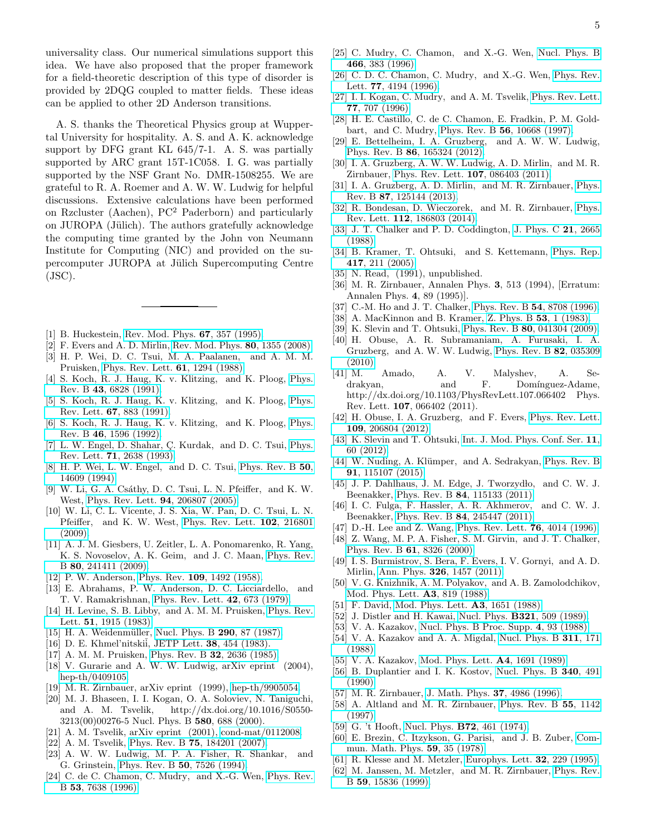universality class. Our numerical simulations support this idea. We have also proposed that the proper framework for a field-theoretic description of this type of disorder is provided by 2DQG coupled to matter fields. These ideas can be applied to other 2D Anderson transitions.

A. S. thanks the Theoretical Physics group at Wuppertal University for hospitality. A. S. and A. K. acknowledge support by DFG grant KL 645/7-1. A. S. was partially supported by ARC grant 15T-1C058. I. G. was partially supported by the NSF Grant No. DMR-1508255. We are grateful to R. A. Roemer and A. W. W. Ludwig for helpful discussions. Extensive calculations have been performed on Rzcluster (Aachen), PC<sup>2</sup> Paderborn) and particularly on JUROPA (Jülich). The authors gratefully acknowledge the computing time granted by the John von Neumann Institute for Computing (NIC) and provided on the supercomputer JUROPA at Jülich Supercomputing Centre  $(JSC)$ .

- <span id="page-4-0"></span>[1] B. Huckestein, [Rev. Mod. Phys.](http://dx.doi.org/10.1103/RevModPhys.67.357) 67, 357 (1995).
- <span id="page-4-1"></span>F. Evers and A. D. Mirlin, [Rev. Mod. Phys.](http://dx.doi.org/10.1103/RevModPhys.80.1355) **80**, 1355 (2008).
- <span id="page-4-2"></span>[3] H. P. Wei, D. C. Tsui, M. A. Paalanen, and A. M. M. Pruisken, [Phys. Rev. Lett.](http://dx.doi.org/10.1103/PhysRevLett.61.1294) 61, 1294 (1988).
- [4] S. Koch, R. J. Haug, K. v. Klitzing, and K. Ploog, [Phys.](http://dx.doi.org/10.1103/PhysRevB.43.6828) Rev. B 43[, 6828 \(1991\).](http://dx.doi.org/10.1103/PhysRevB.43.6828)
- [5] S. Koch, R. J. Haug, K. v. Klitzing, and K. Ploog, [Phys.](http://dx.doi.org/10.1103/PhysRevLett.67.883) Rev. Lett. 67[, 883 \(1991\).](http://dx.doi.org/10.1103/PhysRevLett.67.883)
- [6] S. Koch, R. J. Haug, K. v. Klitzing, and K. Ploog, [Phys.](http://dx.doi.org/10.1103/PhysRevB.46.1596) Rev. B 46[, 1596 \(1992\).](http://dx.doi.org/10.1103/PhysRevB.46.1596)
- [7] L. W. Engel, D. Shahar, Ç. Kurdak, and D. C. Tsui, [Phys.](http://dx.doi.org/10.1103/PhysRevLett.71.2638) Rev. Lett. 71[, 2638 \(1993\).](http://dx.doi.org/10.1103/PhysRevLett.71.2638)
- <span id="page-4-3"></span>[8] H. P. Wei, L. W. Engel, and D. C. Tsui, [Phys. Rev. B](http://dx.doi.org/10.1103/PhysRevB.50.14609) 50, [14609 \(1994\).](http://dx.doi.org/10.1103/PhysRevB.50.14609)
- <span id="page-4-4"></span>[9] W. Li, G. A. Csáthy, D. C. Tsui, L. N. Pfeiffer, and K. W. West, [Phys. Rev. Lett.](http://dx.doi.org/ 10.1103/PhysRevLett.94.206807) 94, 206807 (2005).
- <span id="page-4-5"></span>[10] W. Li, C. L. Vicente, J. S. Xia, W. Pan, D. C. Tsui, L. N. Pfeiffer, and K. W. West, [Phys. Rev. Lett.](http://dx.doi.org/ 10.1103/PhysRevLett.102.216801) 102, 216801 [\(2009\).](http://dx.doi.org/ 10.1103/PhysRevLett.102.216801)
- <span id="page-4-6"></span>[11] A. J. M. Giesbers, U. Zeitler, L. A. Ponomarenko, R. Yang, K. S. Novoselov, A. K. Geim, and J. C. Maan, [Phys. Rev.](http://dx.doi.org/ 10.1103/PhysRevB.80.241411) B 80[, 241411 \(2009\).](http://dx.doi.org/ 10.1103/PhysRevB.80.241411)
- <span id="page-4-7"></span>[12] P. W. Anderson, Phys. Rev. 109[, 1492 \(1958\).](http://dx.doi.org/10.1103/PhysRev.109.1492)
- <span id="page-4-8"></span>[13] E. Abrahams, P. W. Anderson, D. C. Licciardello, and T. V. Ramakrishnan, [Phys. Rev. Lett.](http://dx.doi.org/10.1103/PhysRevLett.42.673) 42, 673 (1979).
- <span id="page-4-9"></span>[14] H. Levine, S. B. Libby, and A. M. M. Pruisken, [Phys. Rev.](http://dx.doi.org/10.1103/PhysRevLett.51.1915) Lett. 51[, 1915 \(1983\).](http://dx.doi.org/10.1103/PhysRevLett.51.1915)
- <span id="page-4-10"></span>[15] H. A. Weidenmüller, [Nucl. Phys. B](http://dx.doi.org/10.1016/0550-3213(87)90179-9) 290, 87 (1987).
- <span id="page-4-11"></span>[16] D. E. Khmel'nitskii, JETP Lett. **38**, 454 (1983).
- <span id="page-4-12"></span>[17] A. M. M. Pruisken, [Phys. Rev. B](http://dx.doi.org/10.1103/PhysRevB.32.2636) 32, 2636 (1985).
- <span id="page-4-13"></span>[18] V. Gurarie and A. W. W. Ludwig, arXiv eprint (2004), [hep-th/0409105.](http://arxiv.org/abs/hep-th/0409105)
- <span id="page-4-14"></span>[19] M. R. Zirnbauer, arXiv eprint (1999), [hep-th/9905054.](http://arxiv.org/abs/hep-th/9905054)
- [20] M. J. Bhaseen, I. I. Kogan, O. A. Soloviev, N. Taniguchi, and A. M. Tsvelik, http://dx.doi.org/10.1016/S0550- 3213(00)00276-5 Nucl. Phys. B 580, 688 (2000).
- [21] A. M. Tsvelik, arXiv eprint (2001), [cond-mat/0112008.](http://arxiv.org/abs/cond-mat/0112008)
- <span id="page-4-15"></span>[22] A. M. Tsvelik, Phys. Rev. B 75[, 184201 \(2007\).](http://dx.doi.org/10.1103/PhysRevB.75.184201)
- <span id="page-4-16"></span>[23] A. W. W. Ludwig, M. P. A. Fisher, R. Shankar, and G. Grinstein, [Phys. Rev. B](http://dx.doi.org/10.1103/PhysRevB.50.7526) 50, 7526 (1994).
- [24] C. de C. Chamon, C. Mudry, and X.-G. Wen, [Phys. Rev.](http://dx.doi.org/10.1103/PhysRevB.53.R7638) B 53[, 7638 \(1996\).](http://dx.doi.org/10.1103/PhysRevB.53.R7638)
- [25] C. Mudry, C. Chamon, and X.-G. Wen, [Nucl. Phys. B](http://dx.doi.org/10.1016/0550-3213(96)00128-9) 466[, 383 \(1996\).](http://dx.doi.org/10.1016/0550-3213(96)00128-9)
- [26] C. D. C. Chamon, C. Mudry, and X.-G. Wen, [Phys. Rev.](http://dx.doi.org/10.1103/PhysRevLett.77.4194) Lett. 77[, 4194 \(1996\).](http://dx.doi.org/10.1103/PhysRevLett.77.4194)
- [27] I. I. Kogan, C. Mudry, and A. M. Tsvelik, [Phys. Rev. Lett.](http://dx.doi.org/10.1103/PhysRevLett.77.707) 77[, 707 \(1996\).](http://dx.doi.org/10.1103/PhysRevLett.77.707)
- <span id="page-4-17"></span>[28] H. E. Castillo, C. de C. Chamon, E. Fradkin, P. M. Goldbart, and C. Mudry, Phys. Rev. B 56[, 10668 \(1997\).](http://dx.doi.org/10.1103/PhysRevB.56.10668)
- <span id="page-4-18"></span>[29] E. Bettelheim, I. A. Gruzberg, and A. W. W. Ludwig, Phys. Rev. B 86[, 165324 \(2012\).](http://dx.doi.org/10.1103/PhysRevB.86.165324)
- <span id="page-4-19"></span>[30] I. A. Gruzberg, A. W. W. Ludwig, A. D. Mirlin, and M. R. Zirnbauer, [Phys. Rev. Lett.](http://dx.doi.org/10.1103/PhysRevLett.107.086403) 107, 086403 (2011).
- [31] I. A. Gruzberg, A. D. Mirlin, and M. R. Zirnbauer, [Phys.](http://dx.doi.org/10.1103/PhysRevB.87.125144) Rev. B 87[, 125144 \(2013\).](http://dx.doi.org/10.1103/PhysRevB.87.125144)
- <span id="page-4-20"></span>[32] R. Bondesan, D. Wieczorek, and M. R. Zirnbauer, [Phys.](http://dx.doi.org/10.1103/PhysRevLett.112.186803) Rev. Lett. 112[, 186803 \(2014\).](http://dx.doi.org/10.1103/PhysRevLett.112.186803)
- <span id="page-4-21"></span>[33] J. T. Chalker and P. D. Coddington, [J. Phys. C](http://dx.doi.org/10.1088/0022-3719/21/14/008) 21, 2665 [\(1988\).](http://dx.doi.org/10.1088/0022-3719/21/14/008)
- <span id="page-4-22"></span>[34] B. Kramer, T. Ohtsuki, and S. Kettemann, [Phys. Rep.](http://dx.doi.org/10.1016/j.physrep.2005.07.001) 417[, 211 \(2005\).](http://dx.doi.org/10.1016/j.physrep.2005.07.001)
- <span id="page-4-23"></span>[35] N. Read, (1991), unpublished.
- <span id="page-4-24"></span>[36] M. R. Zirnbauer, Annalen Phys. 3, 513 (1994), [Erratum: Annalen Phys. 4, 89 (1995)].
- <span id="page-4-25"></span>[37] C.-M. Ho and J. T. Chalker, [Phys. Rev. B](http://dx.doi.org/10.1103/PhysRevB.54.8708) 54, 8708 (1996).
- <span id="page-4-26"></span>[38] A. MacKinnon and B. Kramer, [Z. Phys. B](http://dx.doi.org/10.1007/BF01578242) 53, 1 (1983).
- <span id="page-4-27"></span>[39] K. Slevin and T. Ohtsuki, Phys. Rev. B 80[, 041304 \(2009\).](http://dx.doi.org/10.1103/PhysRevB.80.041304)
- [40] H. Obuse, A. R. Subramaniam, A. Furusaki, I. A. Gruzberg, and A. W. W. Ludwig, [Phys. Rev. B](http://dx.doi.org/10.1103/PhysRevB.82.035309) 82, 035309 [\(2010\).](http://dx.doi.org/10.1103/PhysRevB.82.035309)
- [41] M. Amado, A. V. Malyshev, A. Sedrakyan, and F. Domínguez-Adame, http://dx.doi.org/10.1103/PhysRevLett.107.066402 Phys. Rev. Lett. 107, 066402 (2011).
- [42] H. Obuse, I. A. Gruzberg, and F. Evers, [Phys. Rev. Lett.](http://dx.doi.org/10.1103/PhysRevLett.109.206804) 109[, 206804 \(2012\).](http://dx.doi.org/10.1103/PhysRevLett.109.206804)
- [43] K. Slevin and T. Ohtsuki, [Int. J. Mod. Phys. Conf. Ser.](http://dx.doi.org/10.1142/S2010194512006162) 11, [60 \(2012\).](http://dx.doi.org/10.1142/S2010194512006162)
- <span id="page-4-28"></span>[44] W. Nuding, A. Klümper, and A. Sedrakyan, [Phys. Rev. B](http://dx.doi.org/10.1103/PhysRevB.91.115107) 91[, 115107 \(2015\).](http://dx.doi.org/10.1103/PhysRevB.91.115107)
- <span id="page-4-29"></span>[45] J. P. Dahlhaus, J. M. Edge, J. Tworzydlo, and C. W. J. Beenakker, Phys. Rev. B 84[, 115133 \(2011\).](http://dx.doi.org/10.1103/PhysRevB.84.115133)
- <span id="page-4-30"></span>[46] I. C. Fulga, F. Hassler, A. R. Akhmerov, and C. W. J. Beenakker, Phys. Rev. B 84[, 245447 \(2011\).](http://dx.doi.org/10.1103/PhysRevB.84.245447)
- <span id="page-4-31"></span>[47] D.-H. Lee and Z. Wang, [Phys. Rev. Lett.](http://dx.doi.org/10.1103/PhysRevLett.76.4014) **76**, 4014 (1996).
- [48] Z. Wang, M. P. A. Fisher, S. M. Girvin, and J. T. Chalker, Phys. Rev. B 61[, 8326 \(2000\).](http://dx.doi.org/10.1103/PhysRevB.61.8326)
- <span id="page-4-32"></span>[49] I. S. Burmistrov, S. Bera, F. Evers, I. V. Gornyi, and A. D. Mirlin, Ann. Phys. 326[, 1457 \(2011\).](http://dx.doi.org/10.1016/j.aop.2011.01.005)
- <span id="page-4-33"></span>[50] V. G. Knizhnik, A. M. Polyakov, and A. B. Zamolodchikov, [Mod. Phys. Lett.](http://dx.doi.org/10.1142/S0217732388000982) A3, 819 (1988).
- [51] F. David, [Mod. Phys. Lett.](http://dx.doi.org/10.1142/S0217732388001975) **A3**, 1651 (1988).
- <span id="page-4-37"></span>[52] J. Distler and H. Kawai, Nucl. Phys. B321[, 509 \(1989\).](http://dx.doi.org/10.1016/0550-3213(89)90354-4)
- <span id="page-4-42"></span>[53] V. A. Kazakov, [Nucl. Phys. B Proc. Supp.](http://dx.doi.org/10.1016/0920-5632(88)90089-8) 4, 93 (1988).
- [54] V. A. Kazakov and A. A. Migdal, [Nucl. Phys. B](http://dx.doi.org/10.1016/0550-3213(88)90146-0) 311, 171 [\(1988\).](http://dx.doi.org/10.1016/0550-3213(88)90146-0)
- <span id="page-4-43"></span>[55] V. A. Kazakov, [Mod. Phys. Lett.](http://dx.doi.org/10.1142/S0217732389001921) **A4**, 1691 (1989).
- <span id="page-4-34"></span>[56] B. Duplantier and I. K. Kostov, [Nucl. Phys. B](http://dx.doi.org/10.1016/0550-3213(90)90456-N) 340, 491  $(1990)$ .
- <span id="page-4-35"></span>[57] M. R. Zirnbauer, [J. Math. Phys.](http://dx.doi.org/10.1063/1.531675) 37, 4986 (1996).
- <span id="page-4-36"></span>[58] A. Altland and M. R. Zirnbauer, [Phys. Rev. B](http://dx.doi.org/10.1103/PhysRevB.55.1142) 55, 1142 [\(1997\).](http://dx.doi.org/10.1103/PhysRevB.55.1142)
- <span id="page-4-38"></span>[59] G. 't Hooft, Nucl. Phys. **B72**[, 461 \(1974\).](http://dx.doi.org/10.1016/0550-3213(74)90154-0)
- <span id="page-4-39"></span>[60] E. Brezin, C. Itzykson, G. Parisi, and J. B. Zuber, [Com](http://dx.doi.org/ 10.1007/BF01614153)[mun. Math. Phys.](http://dx.doi.org/ 10.1007/BF01614153) 59, 35 (1978).
- <span id="page-4-40"></span>[61] R. Klesse and M. Metzler, [Europhys. Lett.](http://dx.doi.org/10.1209/0295-5075/32/3/007) 32, 229 (1995).
- <span id="page-4-41"></span>[62] M. Janssen, M. Metzler, and M. R. Zirnbauer, [Phys. Rev.](http://dx.doi.org/10.1103/PhysRevB.59.15836) B 59[, 15836 \(1999\).](http://dx.doi.org/10.1103/PhysRevB.59.15836)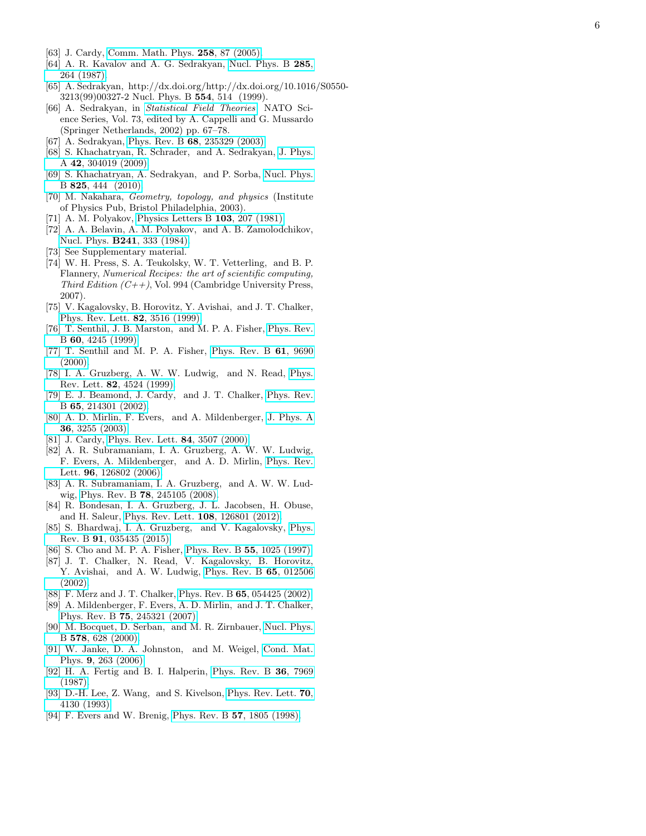- <span id="page-5-0"></span>[63] J. Cardy, [Comm. Math. Phys.](http://dx.doi.org/10.1007/s00220-005-1304-y) **258**, 87 (2005).
- <span id="page-5-1"></span>[64] A. R. Kavalov and A. G. Sedrakyan, [Nucl. Phys. B](http://dx.doi.org/10.1016/0550-3213(87)90338-5) 285, [264 \(1987\).](http://dx.doi.org/10.1016/0550-3213(87)90338-5)
- <span id="page-5-2"></span>[65] A. Sedrakyan, http://dx.doi.org/http://dx.doi.org/10.1016/S0550- 3213(99)00327-2 Nucl. Phys. B 554, 514 (1999).
- [66] A. Sedrakyan, in [Statistical Field Theories](http://dx.doi.org/10.1007/978-94-010-0514-2_7), NATO Science Series, Vol. 73, edited by A. Cappelli and G. Mussardo (Springer Netherlands, 2002) pp. 67–78.
- [67] A. Sedrakyan, Phys. Rev. B **68**[, 235329 \(2003\).](http://dx.doi.org/10.1103/PhysRevB.68.235329)
- [68] S. Khachatryan, R. Schrader, and A. Sedrakyan, [J. Phys.](http://stacks.iop.org/1751-8121/42/i=30/a=304019) A 42[, 304019 \(2009\).](http://stacks.iop.org/1751-8121/42/i=30/a=304019)
- <span id="page-5-3"></span>[69] S. Khachatryan, A. Sedrakyan, and P. Sorba, [Nucl. Phys.](http://dx.doi.org/ http://dx.doi.org/10.1016/j.nuclphysb.2009.09.033) B 825[, 444 \(2010\).](http://dx.doi.org/ http://dx.doi.org/10.1016/j.nuclphysb.2009.09.033)
- <span id="page-5-4"></span>[70] M. Nakahara, Geometry, topology, and physics (Institute of Physics Pub, Bristol Philadelphia, 2003).
- <span id="page-5-5"></span>[71] A. M. Polyakov, [Physics Letters B](http://dx.doi.org/10.1016/0370-2693(81)90743-7) 103, 207 (1981).
- <span id="page-5-6"></span>[72] A. A. Belavin, A. M. Polyakov, and A. B. Zamolodchikov, Nucl. Phys. B241[, 333 \(1984\).](http://dx.doi.org/10.1016/0550-3213(84)90052-X)
- <span id="page-5-7"></span>[73] See Supplementary material.
- <span id="page-5-8"></span>[74] W. H. Press, S. A. Teukolsky, W. T. Vetterling, and B. P. Flannery, Numerical Recipes: the art of scientific computing, Third Edition  $(C++)$ , Vol. 994 (Cambridge University Press, 2007).
- <span id="page-5-9"></span>[75] V. Kagalovsky, B. Horovitz, Y. Avishai, and J. T. Chalker, [Phys. Rev. Lett.](http://dx.doi.org/10.1103/PhysRevLett.82.3516) 82, 3516 (1999).
- <span id="page-5-10"></span>[76] T. Senthil, J. B. Marston, and M. P. A. Fisher, [Phys. Rev.](http://dx.doi.org/10.1103/PhysRevB.60.4245) B 60[, 4245 \(1999\).](http://dx.doi.org/10.1103/PhysRevB.60.4245)
- <span id="page-5-11"></span>[77] T. Senthil and M. P. A. Fisher, [Phys. Rev. B](http://dx.doi.org/10.1103/PhysRevB.61.9690) 61, 9690  $(2000).$
- <span id="page-5-12"></span>[78] I. A. Gruzberg, A. W. W. Ludwig, and N. Read, [Phys.](http://dx.doi.org/10.1103/PhysRevLett.82.4524) Rev. Lett. 82[, 4524 \(1999\).](http://dx.doi.org/10.1103/PhysRevLett.82.4524)
- [79] E. J. Beamond, J. Cardy, and J. T. Chalker, [Phys. Rev.](http://dx.doi.org/10.1103/PhysRevB.65.214301) B 65[, 214301 \(2002\).](http://dx.doi.org/10.1103/PhysRevB.65.214301)
- <span id="page-5-13"></span>[80] A. D. Mirlin, F. Evers, and A. Mildenberger, [J. Phys. A](http://dx.doi.org/10.1088/0305-4470/36/12/323) 36[, 3255 \(2003\).](http://dx.doi.org/10.1088/0305-4470/36/12/323)
- [81] J. Cardy, [Phys. Rev. Lett.](http://dx.doi.org/10.1103/PhysRevLett.84.3507) **84**, 3507 (2000).
- <span id="page-5-15"></span>[82] A. R. Subramaniam, I. A. Gruzberg, A. W. W. Ludwig, F. Evers, A. Mildenberger, and A. D. Mirlin, [Phys. Rev.](http://dx.doi.org/10.1103/PhysRevLett.96.126802) Lett. **96**[, 126802 \(2006\).](http://dx.doi.org/10.1103/PhysRevLett.96.126802)
- [83] A. R. Subramaniam, I. A. Gruzberg, and A. W. W. Ludwig, Phys. Rev. B 78[, 245105 \(2008\).](http://dx.doi.org/10.1103/PhysRevB.78.245105)
- [84] R. Bondesan, I. A. Gruzberg, J. L. Jacobsen, H. Obuse, and H. Saleur, [Phys. Rev. Lett.](http://dx.doi.org/10.1103/PhysRevLett.108.126801) 108, 126801 (2012).
- <span id="page-5-14"></span>[85] S. Bhardwaj, I. A. Gruzberg, and V. Kagalovsky, [Phys.](http://dx.doi.org/10.1103/PhysRevB.91.035435) Rev. B 91[, 035435 \(2015\).](http://dx.doi.org/10.1103/PhysRevB.91.035435)
- <span id="page-5-16"></span>[86] S. Cho and M. P. A. Fisher, [Phys. Rev. B](http://dx.doi.org/10.1103/PhysRevB.55.1025) 55, 1025 (1997).
- [87] J. T. Chalker, N. Read, V. Kagalovsky, B. Horovitz, Y. Avishai, and A. W. Ludwig, [Phys. Rev. B](http://dx.doi.org/ 10.1103/PhysRevB.65.012506) 65, 012506 [\(2002\).](http://dx.doi.org/ 10.1103/PhysRevB.65.012506)
- [88] F. Merz and J. T. Chalker, Phys. Rev. B 65[, 054425 \(2002\).](http://dx.doi.org/10.1103/PhysRevB.65.054425)
- <span id="page-5-17"></span>[89] A. Mildenberger, F. Evers, A. D. Mirlin, and J. T. Chalker, Phys. Rev. B 75[, 245321 \(2007\).](http://dx.doi.org/10.1103/PhysRevB.75.245321)
- <span id="page-5-18"></span>[90] M. Bocquet, D. Serban, and M. R. Zirnbauer, [Nucl. Phys.](http://dx.doi.org/10.1016/S0550-3213(00)00208-X) B 578[, 628 \(2000\).](http://dx.doi.org/10.1016/S0550-3213(00)00208-X)
- <span id="page-5-19"></span>[91] W. Janke, D. A. Johnston, and M. Weigel, [Cond. Mat.](http://dx.doi.org/10.5488/CMP.9.2.263) Phys. 9[, 263 \(2006\).](http://dx.doi.org/10.5488/CMP.9.2.263)
- <span id="page-5-20"></span>[92] H. A. Fertig and B. I. Halperin, [Phys. Rev. B](http://dx.doi.org/10.1103/PhysRevB.36.7969) 36, 7969 [\(1987\).](http://dx.doi.org/10.1103/PhysRevB.36.7969)
- <span id="page-5-21"></span>[93] D.-H. Lee, Z. Wang, and S. Kivelson, [Phys. Rev. Lett.](http://dx.doi.org/10.1103/PhysRevLett.70.4130) 70, [4130 \(1993\).](http://dx.doi.org/10.1103/PhysRevLett.70.4130)
- <span id="page-5-22"></span>[94] F. Evers and W. Brenig, [Phys. Rev. B](http://dx.doi.org/10.1103/PhysRevB.57.1805) 57, 1805 (1998).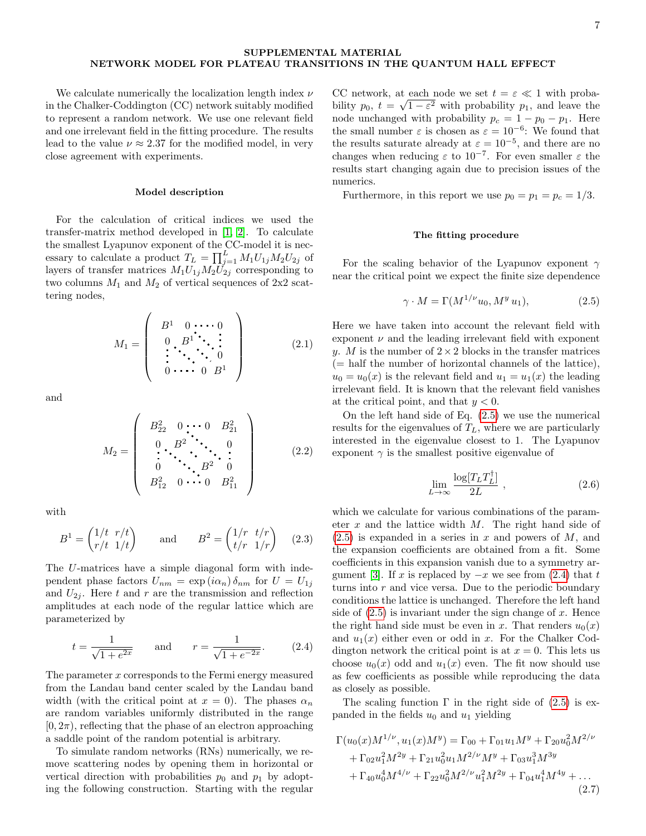## SUPPLEMENTAL MATERIAL NETWORK MODEL FOR PLATEAU TRANSITIONS IN THE QUANTUM HALL EFFECT

We calculate numerically the localization length index  $\nu$ in the Chalker-Coddington (CC) network suitably modified to represent a random network. We use one relevant field and one irrelevant field in the fitting procedure. The results lead to the value  $\nu \approx 2.37$  for the modified model, in very close agreement with experiments.

### Model description

For the calculation of critical indices we used the transfer-matrix method developed in [\[1,](#page-9-0) [2\]](#page-9-1). To calculate the smallest Lyapunov exponent of the CC-model it is necessary to calculate a product  $T_L = \prod_{j=1}^L M_1 U_{1j} M_2 U_{2j}$  of layers of transfer matrices  $M_1U_{1j}M_2U_{2j}$  corresponding to two columns  $M_1$  and  $M_2$  of vertical sequences of  $2x2$  scattering nodes,

$$
M_1 = \left(\begin{array}{ccc} B^1 & 0 & \cdots & 0 \\ 0 & B^1 & \ddots & \vdots \\ \vdots & \ddots & \ddots & 0 \\ 0 & \cdots & 0 & B^1 \end{array}\right) \tag{2.1}
$$

and

$$
M_2 = \left(\begin{array}{cccc} B_{22}^2 & 0 & \cdots & 0 & B_{21}^2 \\ 0 & B^2 & \ddots & 0 & \\ \vdots & \ddots & \ddots & \ddots & 0 \\ 0 & \cdots & B^2 & 0 & \\ B_{12}^2 & 0 & \cdots & 0 & B_{11}^2 \end{array}\right) \tag{2.2}
$$

with

$$
B1 = \begin{pmatrix} 1/t & r/t \\ r/t & 1/t \end{pmatrix} \quad \text{and} \quad B2 = \begin{pmatrix} 1/r & t/r \\ t/r & 1/r \end{pmatrix} \quad (2.3)
$$

The U-matrices have a simple diagonal form with independent phase factors  $U_{nm} = \exp(i\alpha_n) \delta_{nm}$  for  $U = U_{1j}$ and  $U_{2i}$ . Here t and r are the transmission and reflection amplitudes at each node of the regular lattice which are parameterized by

<span id="page-6-1"></span>
$$
t = \frac{1}{\sqrt{1 + e^{2x}}}
$$
 and  $r = \frac{1}{\sqrt{1 + e^{-2x}}}$ . (2.4)

The parameter x corresponds to the Fermi energy measured from the Landau band center scaled by the Landau band width (with the critical point at  $x = 0$ ). The phases  $\alpha_n$ are random variables uniformly distributed in the range  $[0, 2\pi)$ , reflecting that the phase of an electron approaching a saddle point of the random potential is arbitrary.

To simulate random networks (RNs) numerically, we remove scattering nodes by opening them in horizontal or vertical direction with probabilities  $p_0$  and  $p_1$  by adopting the following construction. Starting with the regular

CC network, at each node we set  $t = \varepsilon \ll 1$  with probability  $p_0, t = \sqrt{1 - \varepsilon^2}$  with probability  $p_1$ , and leave the node unchanged with probability  $p_c = 1 - p_0 - p_1$ . Here the small number  $\varepsilon$  is chosen as  $\varepsilon = 10^{-6}$ : We found that the results saturate already at  $\varepsilon = 10^{-5}$ , and there are no changes when reducing  $\varepsilon$  to 10<sup>-7</sup>. For even smaller  $\varepsilon$  the results start changing again due to precision issues of the numerics.

Furthermore, in this report we use  $p_0 = p_1 = p_c = 1/3$ .

### The fitting procedure

For the scaling behavior of the Lyapunov exponent  $\gamma$ near the critical point we expect the finite size dependence

<span id="page-6-0"></span>
$$
\gamma \cdot M = \Gamma(M^{1/\nu} u_0, M^y u_1), \tag{2.5}
$$

Here we have taken into account the relevant field with exponent  $\nu$  and the leading irrelevant field with exponent y. M is the number of  $2 \times 2$  blocks in the transfer matrices (= half the number of horizontal channels of the lattice),  $u_0 = u_0(x)$  is the relevant field and  $u_1 = u_1(x)$  the leading irrelevant field. It is known that the relevant field vanishes at the critical point, and that  $y < 0$ .

On the left hand side of Eq. [\(2.5\)](#page-6-0) we use the numerical results for the eigenvalues of  $T_L$ , where we are particularly interested in the eigenvalue closest to 1. The Lyapunov exponent  $\gamma$  is the smallest positive eigenvalue of

$$
\lim_{L \to \infty} \frac{\log[T_L T_L^{\dagger}]}{2L} , \qquad (2.6)
$$

which we calculate for various combinations of the parameter  $x$  and the lattice width  $M$ . The right hand side of  $(2.5)$  is expanded in a series in x and powers of M, and the expansion coefficients are obtained from a fit. Some coefficients in this expansion vanish due to a symmetry ar-gument [\[3\]](#page-9-2). If x is replaced by  $-x$  we see from [\(2.4\)](#page-6-1) that t turns into  $r$  and vice versa. Due to the periodic boundary conditions the lattice is unchanged. Therefore the left hand side of  $(2.5)$  is invariant under the sign change of x. Hence the right hand side must be even in x. That renders  $u_0(x)$ and  $u_1(x)$  either even or odd in x. For the Chalker Coddington network the critical point is at  $x = 0$ . This lets us choose  $u_0(x)$  odd and  $u_1(x)$  even. The fit now should use as few coefficients as possible while reproducing the data as closely as possible.

The scaling function  $\Gamma$  in the right side of [\(2.5\)](#page-6-0) is expanded in the fields  $u_0$  and  $u_1$  yielding

<span id="page-6-2"></span>
$$
\Gamma(u_0(x)M^{1/\nu}, u_1(x)M^y) = \Gamma_{00} + \Gamma_{01}u_1M^y + \Gamma_{20}u_0^2M^{2/\nu} \n+ \Gamma_{02}u_1^2M^{2y} + \Gamma_{21}u_0^2u_1M^{2/\nu}M^y + \Gamma_{03}u_1^3M^{3y} \n+ \Gamma_{40}u_0^4M^{4/\nu} + \Gamma_{22}u_0^2M^{2/\nu}u_1^2M^{2y} + \Gamma_{04}u_1^4M^{4y} + ...
$$
\n(2.7)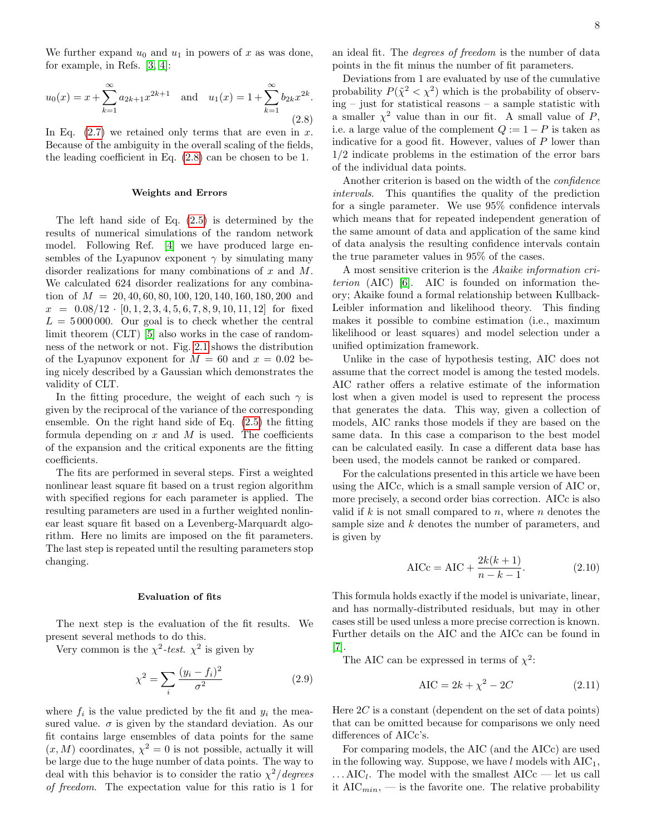We further expand  $u_0$  and  $u_1$  in powers of x as was done, for example, in Refs. [\[3,](#page-9-2) [4\]](#page-9-3):

<span id="page-7-0"></span>
$$
u_0(x) = x + \sum_{k=1}^{\infty} a_{2k+1} x^{2k+1}
$$
 and  $u_1(x) = 1 + \sum_{k=1}^{\infty} b_{2k} x^{2k}$ . (2.8)

In Eq.  $(2.7)$  we retained only terms that are even in x. Because of the ambiguity in the overall scaling of the fields, the leading coefficient in Eq. [\(2.8\)](#page-7-0) can be chosen to be 1.

#### Weights and Errors

The left hand side of Eq. [\(2.5\)](#page-6-0) is determined by the results of numerical simulations of the random network model. Following Ref. [\[4\]](#page-9-3) we have produced large ensembles of the Lyapunov exponent  $\gamma$  by simulating many disorder realizations for many combinations of x and M. We calculated 624 disorder realizations for any combination of  $M = 20, 40, 60, 80, 100, 120, 140, 160, 180, 200$  and  $x = 0.08/12 \cdot [0, 1, 2, 3, 4, 5, 6, 7, 8, 9, 10, 11, 12]$  for fixed  $L = 5000000$ . Our goal is to check whether the central limit theorem (CLT) [\[5\]](#page-9-4) also works in the case of randomness of the network or not. Fig. [2.1](#page-8-0) shows the distribution of the Lyapunov exponent for  $M = 60$  and  $x = 0.02$  being nicely described by a Gaussian which demonstrates the validity of CLT.

In the fitting procedure, the weight of each such  $\gamma$  is given by the reciprocal of the variance of the corresponding ensemble. On the right hand side of Eq. [\(2.5\)](#page-6-0) the fitting formula depending on  $x$  and  $M$  is used. The coefficients of the expansion and the critical exponents are the fitting coefficients.

The fits are performed in several steps. First a weighted nonlinear least square fit based on a trust region algorithm with specified regions for each parameter is applied. The resulting parameters are used in a further weighted nonlinear least square fit based on a Levenberg-Marquardt algorithm. Here no limits are imposed on the fit parameters. The last step is repeated until the resulting parameters stop changing.

## Evaluation of fits

The next step is the evaluation of the fit results. We present several methods to do this.

Very common is the  $\chi^2$ -test.  $\chi^2$  is given by

$$
\chi^2 = \sum_{i} \frac{(y_i - f_i)^2}{\sigma^2} \tag{2.9}
$$

where  $f_i$  is the value predicted by the fit and  $y_i$  the measured value.  $\sigma$  is given by the standard deviation. As our fit contains large ensembles of data points for the same  $(x, M)$  coordinates,  $\chi^2 = 0$  is not possible, actually it will be large due to the huge number of data points. The way to deal with this behavior is to consider the ratio  $\chi^2$ /degrees of freedom. The expectation value for this ratio is 1 for an ideal fit. The degrees of freedom is the number of data points in the fit minus the number of fit parameters.

Deviations from 1 are evaluated by use of the cumulative probability  $P(\tilde{\chi}^2 < \chi^2)$  which is the probability of observing – just for statistical reasons – a sample statistic with a smaller  $\chi^2$  value than in our fit. A small value of P, i.e. a large value of the complement  $Q := 1 - P$  is taken as indicative for a good fit. However, values of  $P$  lower than 1/2 indicate problems in the estimation of the error bars of the individual data points.

Another criterion is based on the width of the confidence intervals. This quantifies the quality of the prediction for a single parameter. We use 95% confidence intervals which means that for repeated independent generation of the same amount of data and application of the same kind of data analysis the resulting confidence intervals contain the true parameter values in 95% of the cases.

A most sensitive criterion is the Akaike information criterion (AIC) [\[6\]](#page-9-5). AIC is founded on information theory; Akaike found a formal relationship between Kullback-Leibler information and likelihood theory. This finding makes it possible to combine estimation (i.e., maximum likelihood or least squares) and model selection under a unified optimization framework.

Unlike in the case of hypothesis testing, AIC does not assume that the correct model is among the tested models. AIC rather offers a relative estimate of the information lost when a given model is used to represent the process that generates the data. This way, given a collection of models, AIC ranks those models if they are based on the same data. In this case a comparison to the best model can be calculated easily. In case a different data base has been used, the models cannot be ranked or compared.

For the calculations presented in this article we have been using the AICc, which is a small sample version of AIC or, more precisely, a second order bias correction. AICc is also valid if k is not small compared to n, where n denotes the sample size and k denotes the number of parameters, and is given by

$$
AICc = AIC + \frac{2k(k+1)}{n-k-1}.
$$
 (2.10)

This formula holds exactly if the model is univariate, linear, and has normally-distributed residuals, but may in other cases still be used unless a more precise correction is known. Further details on the AIC and the AICc can be found in [\[7\]](#page-9-6).

The AIC can be expressed in terms of  $\chi^2$ :

$$
AIC = 2k + \chi^2 - 2C \qquad (2.11)
$$

Here  $2C$  is a constant (dependent on the set of data points) that can be omitted because for comparisons we only need differences of AICc's.

For comparing models, the AIC (and the AICc) are used in the following way. Suppose, we have  $l$  models with  $AIC_1$ ,  $\ldots$  AIC<sub>l</sub>. The model with the smallest AICc — let us call it  $\text{AIC}_{min}$ , — is the favorite one. The relative probability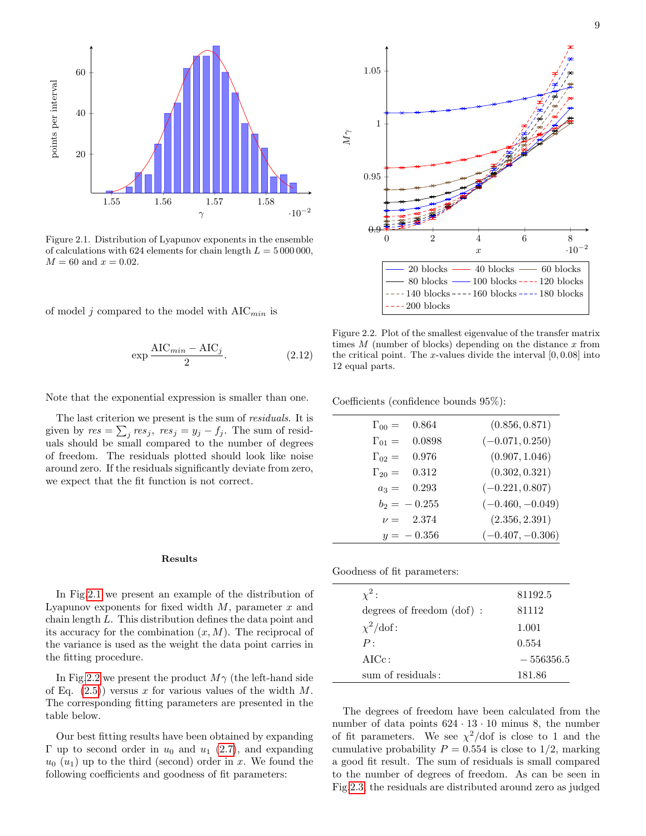<span id="page-8-0"></span>

Figure 2.1. Distribution of Lyapunov exponents in the ensemble of calculations with 624 elements for chain length  $L = 5000000$ ,  $M = 60$  and  $x = 0.02$ .

of model j compared to the model with  $AIC_{min}$  is

$$
\exp\frac{\text{AIC}_{min} - \text{AIC}_j}{2}.\tag{2.12}
$$

Note that the exponential expression is smaller than one.

The last criterion we present is the sum of *residuals*. It is given by  $res = \sum_j res_j$ ,  $res_j = y_j - f_j$ . The sum of residuals should be small compared to the number of degrees of freedom. The residuals plotted should look like noise around zero. If the residuals significantly deviate from zero, we expect that the fit function is not correct.

#### Results

In Fig[.2.1](#page-8-0) we present an example of the distribution of Lyapunov exponents for fixed width  $M$ , parameter  $x$  and chain length L. This distribution defines the data point and its accuracy for the combination  $(x, M)$ . The reciprocal of the variance is used as the weight the data point carries in the fitting procedure.

In Fig[.2.2](#page-8-1) we present the product  $M\gamma$  (the left-hand side of Eq.  $(2.5)$  versus x for various values of the width M. The corresponding fitting parameters are presented in the table below.

Our best fitting results have been obtained by expanding Γ up to second order in  $u_0$  and  $u_1$  [\(2.7\)](#page-6-2), and expanding  $u_0$   $(u_1)$  up to the third (second) order in x. We found the following coefficients and goodness of fit parameters:

<span id="page-8-1"></span>

Figure 2.2. Plot of the smallest eigenvalue of the transfer matrix times  $M$  (number of blocks) depending on the distance  $x$  from the critical point. The x-values divide the interval  $[0, 0.08]$  into 12 equal parts.

Coefficients (confidence bounds 95%):

| $\Gamma_{00} =$ | 0.864          | (0.856, 0.871)     |
|-----------------|----------------|--------------------|
| $\Gamma_{01} =$ | 0.0898         | $(-0.071, 0.250)$  |
| $\Gamma_{02} =$ | 0.976          | (0.907, 1.046)     |
| $\Gamma_{20} =$ | 0.312          | (0.302, 0.321)     |
| $a_3 =$         | 0.293          | $(-0.221, 0.807)$  |
|                 | $b_2 = -0.255$ | $(-0.460, -0.049)$ |
|                 | $\nu = 2.374$  | (2.356, 2.391)     |
|                 | $y = -0.356$   | $(-0.407, -0.306)$ |

Goodness of fit parameters:

| $\chi^2$ :                   | 81192.5     |
|------------------------------|-------------|
| degrees of freedom $(dof)$ : | 81112       |
| $\chi^2$ /dof:               | 1.001       |
| P:                           | 0.554       |
| $AICc$ :                     | $-556356.5$ |
| sum of residuals:            | 181.86      |
|                              |             |

The degrees of freedom have been calculated from the number of data points  $624 \cdot 13 \cdot 10$  minus 8, the number of fit parameters. We see  $\chi^2$ /dof is close to 1 and the cumulative probability  $P = 0.554$  is close to 1/2, marking a good fit result. The sum of residuals is small compared to the number of degrees of freedom. As can be seen in Fig[.2.3,](#page-9-7) the residuals are distributed around zero as judged